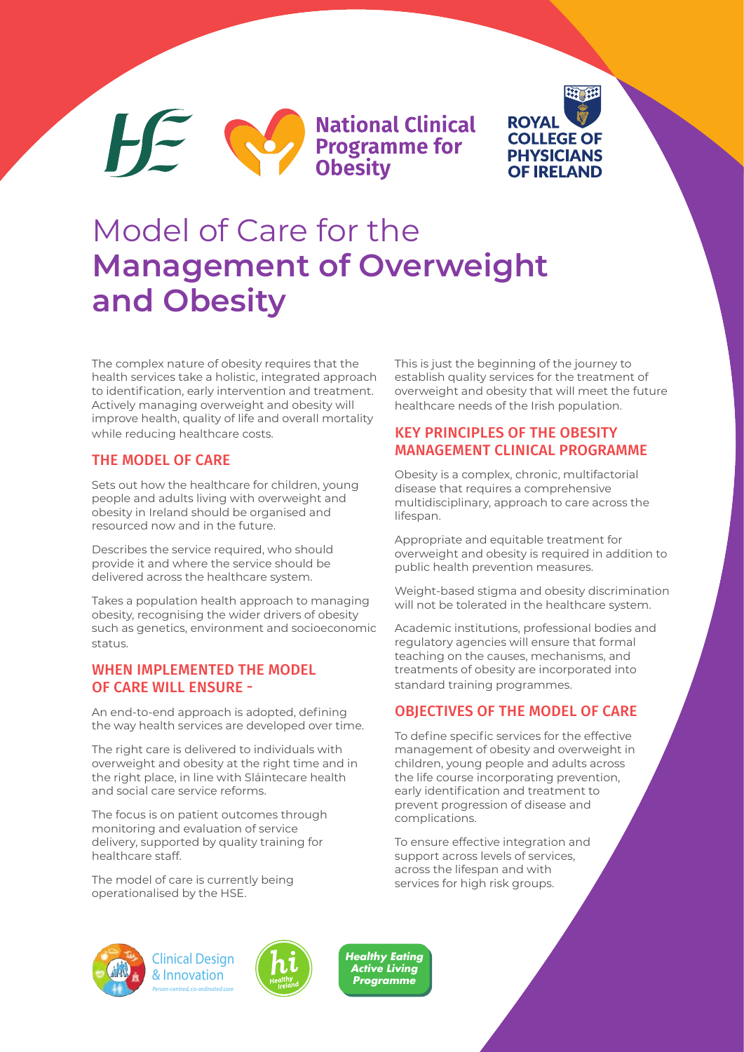**National Clinical Exercise Service Service Service Service Service Service Service Service Service Service Service Service Service Service Service Service Service Service Service Service Service Service Service Service Service Service Serv** 



## Model of Care for the **Management of Overweight and Obesity**

The complex nature of obesity requires that the health services take a holistic, integrated approach to identification, early intervention and treatment. Actively managing overweight and obesity will improve health, quality of life and overall mortality while reducing healthcare costs.

### THE MODEL OF CARE

 $H^{\sim}$ 

Sets out how the healthcare for children, young people and adults living with overweight and obesity in Ireland should be organised and resourced now and in the future.

Describes the service required, who should provide it and where the service should be delivered across the healthcare system.

Takes a population health approach to managing obesity, recognising the wider drivers of obesity such as genetics, environment and socioeconomic status.

### WHEN IMPLEMENTED THE MODEL OF CARE WILL ENSURE -

An end-to-end approach is adopted, defining the way health services are developed over time.

The right care is delivered to individuals with overweight and obesity at the right time and in the right place, in line with Sláintecare health and social care service reforms.

The focus is on patient outcomes through monitoring and evaluation of service delivery, supported by quality training for healthcare staff.

The model of care is currently being operationalised by the HSE.

This is just the beginning of the journey to establish quality services for the treatment of overweight and obesity that will meet the future healthcare needs of the Irish population.

## KEY PRINCIPLES OF THE OBESITY MANAGEMENT CLINICAL PROGRAMME

Obesity is a complex, chronic, multifactorial disease that requires a comprehensive multidisciplinary, approach to care across the lifespan.

Appropriate and equitable treatment for overweight and obesity is required in addition to public health prevention measures.

Weight-based stigma and obesity discrimination will not be tolerated in the healthcare system.

Academic institutions, professional bodies and regulatory agencies will ensure that formal teaching on the causes, mechanisms, and treatments of obesity are incorporated into standard training programmes.

### OBJECTIVES OF THE MODEL OF CARE

To define specific services for the effective management of obesity and overweight in children, young people and adults across the life course incorporating prevention, early identification and treatment to prevent progression of disease and complications.

To ensure effective integration and support across levels of services, across the lifespan and with services for high risk groups.







*Healthy Eating Active Living Programme*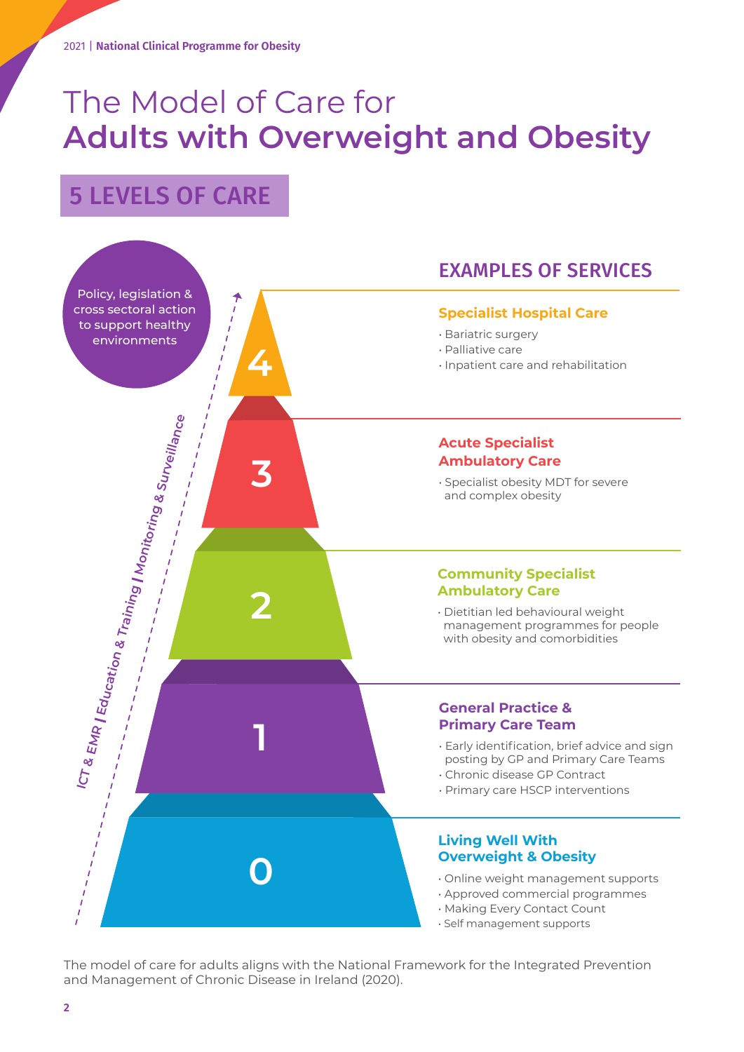# The Model of Care for **Adults with Overweight and Obesity**

## 5 LEVELS OF CARE



The model of care for adults aligns with the National Framework for the Integrated Prevention and Management of Chronic Disease in Ireland (2020).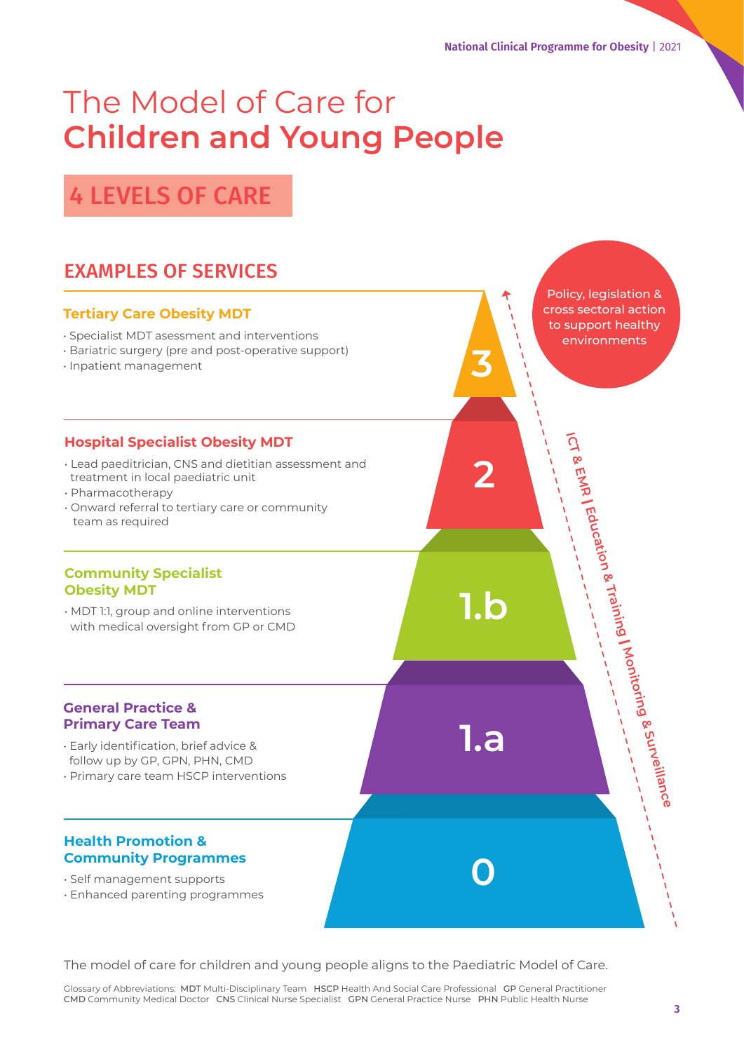**1.b**

**2**

**ICT & EMR |**

 **Education & Training |**

Policy, legislation & cross sectoral action to support healthy environments

 **Monitoring & Surveillance**

**3**

**1.a**

**0**

## The Model of Care for **Children and Young People**

4 LEVELS OF CARE

## EXAMPLES OF SERVICES

## **Tertiary Care Obesity MDT**

- Specialist MDT asessment and interventions
- Bariatric surgery (pre and post-operative support)
- Inpatient management

## **Hospital Specialist Obesity MDT**

- Lead paeditrician, CNS and dietitian assessment and treatment in local paediatric unit
- Pharmacotherapy
- Onward referral to tertiary care or community team as required

### **Community Specialist Obesity MDT**

• MDT 1:1, group and online interventions with medical oversight from GP or CMD

#### **General Practice & Primary Care Team**

- Early identification, brief advice & follow up by GP, GPN, PHN, CMD
- Primary care team HSCP interventions

## **Health Promotion & Community Programmes**

- Self management supports
- Enhanced parenting programmes

The model of care for children and young people aligns to the Paediatric Model of Care.

Glossary of Abbreviations: MDT Multi-Disciplinary Team HSCP Health And Social Care Professional GP General Practitioner CMD Community Medical Doctor CNS Clinical Nurse Specialist GPN General Practice Nurse PHN Public Health Nurse